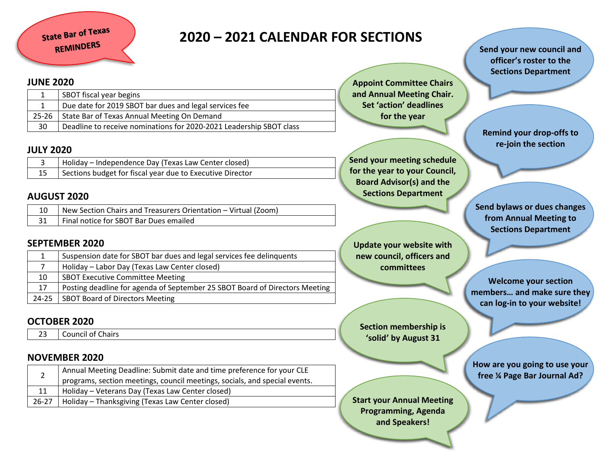# **2020 – 2021 CALENDAR FOR SECTIONS**

#### **JUNE 2020**

|    | SBOT fiscal year begins                                             |  |
|----|---------------------------------------------------------------------|--|
|    | Due date for 2019 SBOT bar dues and legal services fee              |  |
|    | 25-26 State Bar of Texas Annual Meeting On Demand                   |  |
| 30 | Deadline to receive nominations for 2020-2021 Leadership SBOT class |  |

#### **JULY 2020**

| Holiday – Independence Day (Texas Law Center closed)      |
|-----------------------------------------------------------|
| Sections budget for fiscal year due to Executive Director |

# **AUGUST 2020**

| New Section Chairs and Treasurers Orientation – Virtual (Zoom) |
|----------------------------------------------------------------|
| Final notice for SBOT Bar Dues emailed                         |

# **SEPTEMBER 2020**

|    | Suspension date for SBOT bar dues and legal services fee delinquents        |  |
|----|-----------------------------------------------------------------------------|--|
|    | Holiday – Labor Day (Texas Law Center closed)                               |  |
| 10 | <b>SBOT Executive Committee Meeting</b>                                     |  |
| 17 | Posting deadline for agenda of September 25 SBOT Board of Directors Meeting |  |
|    | 24-25 SBOT Board of Directors Meeting                                       |  |

# **OCTOBER 2020**

23 Council of Chairs

# **NOVEMBER 2020**

|    | Annual Meeting Deadline: Submit date and time preference for your CLE      |  |
|----|----------------------------------------------------------------------------|--|
|    | programs, section meetings, council meetings, socials, and special events. |  |
| 11 | Holiday – Veterans Day (Texas Law Center closed)                           |  |
|    | 26-27   Holiday – Thanksgiving (Texas Law Center closed)                   |  |

**Appoint Committee Chairs and Annual Meeting Chair. Set 'action' deadlines for the year**

**Send your meeting schedule for the year to your Council, Board Advisor(s) and the Sections Department**

**Update your website with new council, officers and committees**

**Section membership is 'solid' by August 31**

**Start your Annual Meeting Programming, Agenda and Speakers!**

**Send your new council and officer's roster to the Sections Department**

**Remind your drop-offs to re-join the section**

**Send bylaws or dues changes from Annual Meeting to Sections Department**

**Welcome your section members… and make sure they can log-in to your website!**

**How are you going to use your free ¼ Page Bar Journal Ad?**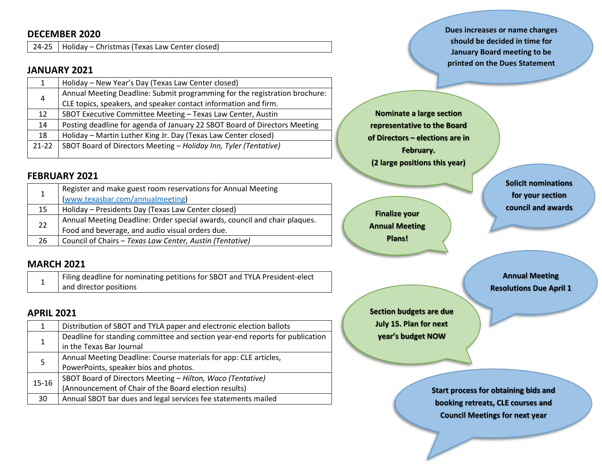#### **DECEMBER 2020**

24-25 Holiday – Christmas (Texas Law Center closed)

#### **JANUARY 2021**

|         | Holiday - New Year's Day (Texas Law Center closed)                         |  |
|---------|----------------------------------------------------------------------------|--|
| 4       | Annual Meeting Deadline: Submit programming for the registration brochure: |  |
|         | CLE topics, speakers, and speaker contact information and firm.            |  |
| 12      | SBOT Executive Committee Meeting - Texas Law Center, Austin                |  |
| 14      | Posting deadline for agenda of January 22 SBOT Board of Directors Meeting  |  |
| 18      | Holiday - Martin Luther King Jr. Day (Texas Law Center closed)             |  |
| $21-22$ | SBOT Board of Directors Meeting - Holiday Inn, Tyler (Tentative)           |  |
|         |                                                                            |  |

#### **FEBRUARY 2021**

| 1  | Register and make guest room reservations for Annual Meeting<br>(www.texasbar.com/annualmeeting)                             |  |
|----|------------------------------------------------------------------------------------------------------------------------------|--|
| 15 | Holiday - Presidents Day (Texas Law Center closed)                                                                           |  |
| 22 | Annual Meeting Deadline: Order special awards, council and chair plaques.<br>Food and beverage, and audio visual orders due. |  |
| 26 | Council of Chairs - Texas Law Center, Austin (Tentative)                                                                     |  |

#### **MARCH 2021**

|  | Filing deadline for nominating petitions for SBOT and TYLA President-elect |
|--|----------------------------------------------------------------------------|
|  | and director positions                                                     |

#### **APRIL 2021**

| 1         | Distribution of SBOT and TYLA paper and electronic election ballots          |  |
|-----------|------------------------------------------------------------------------------|--|
| 1         | Deadline for standing committee and section year-end reports for publication |  |
|           | in the Texas Bar Journal                                                     |  |
| 5         | Annual Meeting Deadline: Course materials for app: CLE articles,             |  |
|           | PowerPoints, speaker bios and photos.                                        |  |
| $15 - 16$ | SBOT Board of Directors Meeting - Hilton, Waco (Tentative)                   |  |
|           | (Announcement of Chair of the Board election results)                        |  |
| 30        | Annual SBOT bar dues and legal services fee statements mailed                |  |

**Dues increases or name changes should be decided in time for January Board meeting to be printed on the Dues Statement**

**Nominate a large section representative to the Board of Directors – elections are in February. (2 large positions this year)**

**Finalize your Annual Meeting Plans!**

**Solicit nominations for your section council and awards**

**Annual Meeting Resolutions Due April 1**

**Section budgets are due July 15. Plan for next year's budget NOW**

> **Start process for obtaining bids and booking retreats, CLE courses and Council Meetings for next year**